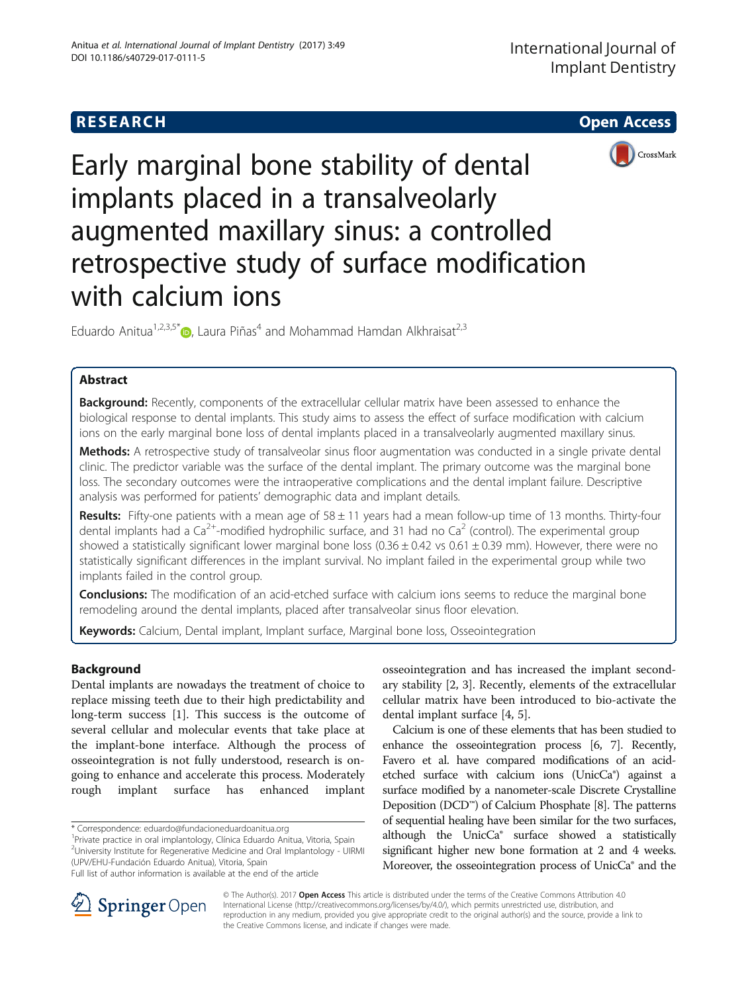



Early marginal bone stability of dental implants placed in a transalveolarly augmented maxillary sinus: a controlled retrospective study of surface modification with calcium ions

Eduardo Anitua<sup>1[,](http://orcid.org/0000-0002-8386-5303)2,3,5\*</sup> $\bullet$ , Laura Piñas<sup>4</sup> and Mohammad Hamdan Alkhraisat<sup>2,3</sup>

# Abstract

Background: Recently, components of the extracellular cellular matrix have been assessed to enhance the biological response to dental implants. This study aims to assess the effect of surface modification with calcium ions on the early marginal bone loss of dental implants placed in a transalveolarly augmented maxillary sinus.

Methods: A retrospective study of transalveolar sinus floor augmentation was conducted in a single private dental clinic. The predictor variable was the surface of the dental implant. The primary outcome was the marginal bone loss. The secondary outcomes were the intraoperative complications and the dental implant failure. Descriptive analysis was performed for patients' demographic data and implant details.

Results: Fifty-one patients with a mean age of  $58 \pm 11$  years had a mean follow-up time of 13 months. Thirty-four dental implants had a  $Ca^{2+}$ -modified hydrophilic surface, and 31 had no  $Ca^{2}$  (control). The experimental group showed a statistically significant lower marginal bone loss  $(0.36 \pm 0.42 \text{ vs } 0.61 \pm 0.39 \text{ mm})$ . However, there were no statistically significant differences in the implant survival. No implant failed in the experimental group while two implants failed in the control group.

Conclusions: The modification of an acid-etched surface with calcium ions seems to reduce the marginal bone remodeling around the dental implants, placed after transalveolar sinus floor elevation.

Keywords: Calcium, Dental implant, Implant surface, Marginal bone loss, Osseointegration

# Background

Dental implants are nowadays the treatment of choice to replace missing teeth due to their high predictability and long-term success [\[1](#page-3-0)]. This success is the outcome of several cellular and molecular events that take place at the implant-bone interface. Although the process of osseointegration is not fully understood, research is ongoing to enhance and accelerate this process. Moderately rough implant surface has enhanced implant

<sup>1</sup>Private practice in oral implantology, Clínica Eduardo Anitua, Vitoria, Spain <sup>2</sup>University Institute for Regenerative Medicine and Oral Implantology - UIRMI (UPV/EHU-Fundación Eduardo Anitua), Vitoria, Spain

osseointegration and has increased the implant secondary stability [\[2](#page-3-0), [3](#page-3-0)]. Recently, elements of the extracellular cellular matrix have been introduced to bio-activate the dental implant surface [\[4](#page-3-0), [5](#page-3-0)].

Calcium is one of these elements that has been studied to enhance the osseointegration process [\[6,](#page-3-0) [7](#page-4-0)]. Recently, Favero et al. have compared modifications of an acidetched surface with calcium ions (UnicCa®) against a surface modified by a nanometer-scale Discrete Crystalline Deposition (DCD™) of Calcium Phosphate [\[8\]](#page-4-0). The patterns of sequential healing have been similar for the two surfaces, although the UnicCa® surface showed a statistically significant higher new bone formation at 2 and 4 weeks. Moreover, the osseointegration process of UnicCa® and the



© The Author(s). 2017 **Open Access** This article is distributed under the terms of the Creative Commons Attribution 4.0 International License ([http://creativecommons.org/licenses/by/4.0/\)](http://creativecommons.org/licenses/by/4.0/), which permits unrestricted use, distribution, and reproduction in any medium, provided you give appropriate credit to the original author(s) and the source, provide a link to the Creative Commons license, and indicate if changes were made.

<sup>\*</sup> Correspondence: [eduardo@fundacioneduardoanitua.org](mailto:eduardo@fundacioneduardoanitua.org) <sup>1</sup>

Full list of author information is available at the end of the article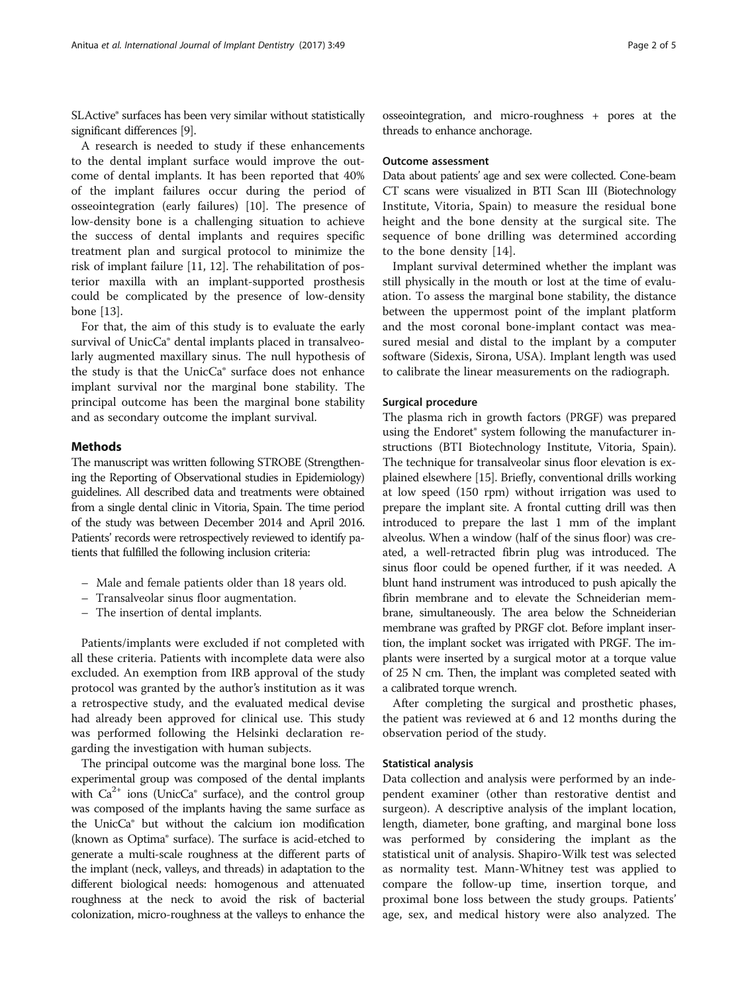SLActive® surfaces has been very similar without statistically significant differences [[9](#page-4-0)].

A research is needed to study if these enhancements to the dental implant surface would improve the outcome of dental implants. It has been reported that 40% of the implant failures occur during the period of osseointegration (early failures) [[10\]](#page-4-0). The presence of low-density bone is a challenging situation to achieve the success of dental implants and requires specific treatment plan and surgical protocol to minimize the risk of implant failure [\[11, 12\]](#page-4-0). The rehabilitation of posterior maxilla with an implant-supported prosthesis could be complicated by the presence of low-density bone [[13\]](#page-4-0).

For that, the aim of this study is to evaluate the early survival of UnicCa® dental implants placed in transalveolarly augmented maxillary sinus. The null hypothesis of the study is that the UnicCa® surface does not enhance implant survival nor the marginal bone stability. The principal outcome has been the marginal bone stability and as secondary outcome the implant survival.

## Methods

The manuscript was written following STROBE (Strengthening the Reporting of Observational studies in Epidemiology) guidelines. All described data and treatments were obtained from a single dental clinic in Vitoria, Spain. The time period of the study was between December 2014 and April 2016. Patients' records were retrospectively reviewed to identify patients that fulfilled the following inclusion criteria:

- Male and female patients older than 18 years old.
- Transalveolar sinus floor augmentation.
- The insertion of dental implants.

Patients/implants were excluded if not completed with all these criteria. Patients with incomplete data were also excluded. An exemption from IRB approval of the study protocol was granted by the author's institution as it was a retrospective study, and the evaluated medical devise had already been approved for clinical use. This study was performed following the Helsinki declaration regarding the investigation with human subjects.

The principal outcome was the marginal bone loss. The experimental group was composed of the dental implants with  $Ca^{2+}$  ions (UnicCa $\degree$  surface), and the control group was composed of the implants having the same surface as the UnicCa® but without the calcium ion modification (known as Optima® surface). The surface is acid-etched to generate a multi-scale roughness at the different parts of the implant (neck, valleys, and threads) in adaptation to the different biological needs: homogenous and attenuated roughness at the neck to avoid the risk of bacterial colonization, micro-roughness at the valleys to enhance the

osseointegration, and micro-roughness + pores at the threads to enhance anchorage.

#### Outcome assessment

Data about patients' age and sex were collected. Cone-beam CT scans were visualized in BTI Scan III (Biotechnology Institute, Vitoria, Spain) to measure the residual bone height and the bone density at the surgical site. The sequence of bone drilling was determined according to the bone density [\[14](#page-4-0)].

Implant survival determined whether the implant was still physically in the mouth or lost at the time of evaluation. To assess the marginal bone stability, the distance between the uppermost point of the implant platform and the most coronal bone-implant contact was measured mesial and distal to the implant by a computer software (Sidexis, Sirona, USA). Implant length was used to calibrate the linear measurements on the radiograph.

### Surgical procedure

The plasma rich in growth factors (PRGF) was prepared using the Endoret® system following the manufacturer instructions (BTI Biotechnology Institute, Vitoria, Spain). The technique for transalveolar sinus floor elevation is explained elsewhere [\[15\]](#page-4-0). Briefly, conventional drills working at low speed (150 rpm) without irrigation was used to prepare the implant site. A frontal cutting drill was then introduced to prepare the last 1 mm of the implant alveolus. When a window (half of the sinus floor) was created, a well-retracted fibrin plug was introduced. The sinus floor could be opened further, if it was needed. A blunt hand instrument was introduced to push apically the fibrin membrane and to elevate the Schneiderian membrane, simultaneously. The area below the Schneiderian membrane was grafted by PRGF clot. Before implant insertion, the implant socket was irrigated with PRGF. The implants were inserted by a surgical motor at a torque value of 25 N cm. Then, the implant was completed seated with a calibrated torque wrench.

After completing the surgical and prosthetic phases, the patient was reviewed at 6 and 12 months during the observation period of the study.

### Statistical analysis

Data collection and analysis were performed by an independent examiner (other than restorative dentist and surgeon). A descriptive analysis of the implant location, length, diameter, bone grafting, and marginal bone loss was performed by considering the implant as the statistical unit of analysis. Shapiro-Wilk test was selected as normality test. Mann-Whitney test was applied to compare the follow-up time, insertion torque, and proximal bone loss between the study groups. Patients' age, sex, and medical history were also analyzed. The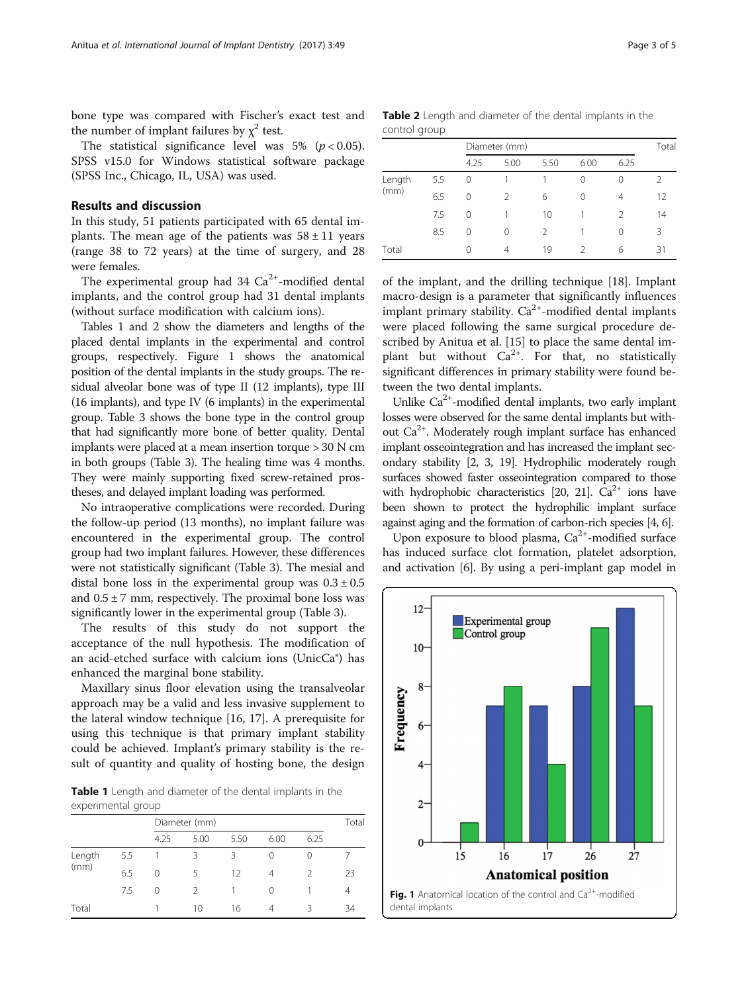bone type was compared with Fischer's exact test and the number of implant failures by  $\chi^2$  test.

The statistical significance level was 5% ( $p < 0.05$ ). SPSS v15.0 for Windows statistical software package (SPSS Inc., Chicago, IL, USA) was used.

# Results and discussion

In this study, 51 patients participated with 65 dental implants. The mean age of the patients was  $58 \pm 11$  years (range 38 to 72 years) at the time of surgery, and 28 were females.

The experimental group had  $34 \text{ Ca}^{2+}$ -modified dental implants, and the control group had 31 dental implants (without surface modification with calcium ions).

Tables 1 and 2 show the diameters and lengths of the placed dental implants in the experimental and control groups, respectively. Figure 1 shows the anatomical position of the dental implants in the study groups. The residual alveolar bone was of type II (12 implants), type III (16 implants), and type IV (6 implants) in the experimental group. Table [3](#page-3-0) shows the bone type in the control group that had significantly more bone of better quality. Dental implants were placed at a mean insertion torque > 30 N cm in both groups (Table [3\)](#page-3-0). The healing time was 4 months. They were mainly supporting fixed screw-retained prostheses, and delayed implant loading was performed.

No intraoperative complications were recorded. During the follow-up period (13 months), no implant failure was encountered in the experimental group. The control group had two implant failures. However, these differences were not statistically significant (Table [3\)](#page-3-0). The mesial and distal bone loss in the experimental group was  $0.3 \pm 0.5$ and  $0.5 \pm 7$  mm, respectively. The proximal bone loss was significantly lower in the experimental group (Table [3\)](#page-3-0).

The results of this study do not support the acceptance of the null hypothesis. The modification of an acid-etched surface with calcium ions (UnicCa®) has enhanced the marginal bone stability.

Maxillary sinus floor elevation using the transalveolar approach may be a valid and less invasive supplement to the lateral window technique [\[16](#page-4-0), [17](#page-4-0)]. A prerequisite for using this technique is that primary implant stability could be achieved. Implant's primary stability is the result of quantity and quality of hosting bone, the design

Table 1 Length and diameter of the dental implants in the experimental group

|                |     | Diameter (mm) |                          |      |      |      | Total |  |
|----------------|-----|---------------|--------------------------|------|------|------|-------|--|
|                |     | 4.25          | 5.00                     | 5.50 | 6.00 | 6.25 |       |  |
| Length<br>(mm) | 5.5 |               | ζ                        | ર    | 0    | 0    |       |  |
|                | 6.5 | 0             | $\overline{\phantom{a}}$ | 12   | 4    | 2    | 23    |  |
|                | 7.5 | 0             | $\mathcal{D}$            |      | 0    |      | 4     |  |
| Total          |     |               | 10                       | 16   | 4    | Κ    | 34    |  |

Table 2 Length and diameter of the dental implants in the control group

|                |     | Diameter (mm) |      |      |      |               | Total         |
|----------------|-----|---------------|------|------|------|---------------|---------------|
|                |     | 4.25          | 5.00 | 5.50 | 6.00 | 6.25          |               |
| Length<br>(mm) | 5.5 | 0             |      |      | 0    | 0             | $\mathcal{P}$ |
|                | 6.5 | 0             | 2    | 6    | 0    | 4             | 12            |
|                | 7.5 | 0             |      | 10   |      | $\mathcal{P}$ | 14            |
|                | 8.5 | 0             | ∩    | 2    |      | 0             | 3             |
| Total          |     | 0             | 4    | 19   |      | 6             | 31            |

of the implant, and the drilling technique [\[18](#page-4-0)]. Implant macro-design is a parameter that significantly influences implant primary stability.  $Ca^{2+}$ -modified dental implants were placed following the same surgical procedure described by Anitua et al. [[15\]](#page-4-0) to place the same dental implant but without  $Ca^{2+}$ . For that, no statistically significant differences in primary stability were found between the two dental implants.

Unlike  $Ca^{2+}$ -modified dental implants, two early implant losses were observed for the same dental implants but without  $Ca^{2+}$ . Moderately rough implant surface has enhanced implant osseointegration and has increased the implant secondary stability [[2](#page-3-0), [3,](#page-3-0) [19](#page-4-0)]. Hydrophilic moderately rough surfaces showed faster osseointegration compared to those with hydrophobic characteristics [[20, 21](#page-4-0)].  $Ca^{2+}$  ions have been shown to protect the hydrophilic implant surface against aging and the formation of carbon-rich species [\[4, 6\]](#page-3-0).

Upon exposure to blood plasma,  $Ca^{2+}$ -modified surface has induced surface clot formation, platelet adsorption, and activation [\[6\]](#page-3-0). By using a peri-implant gap model in

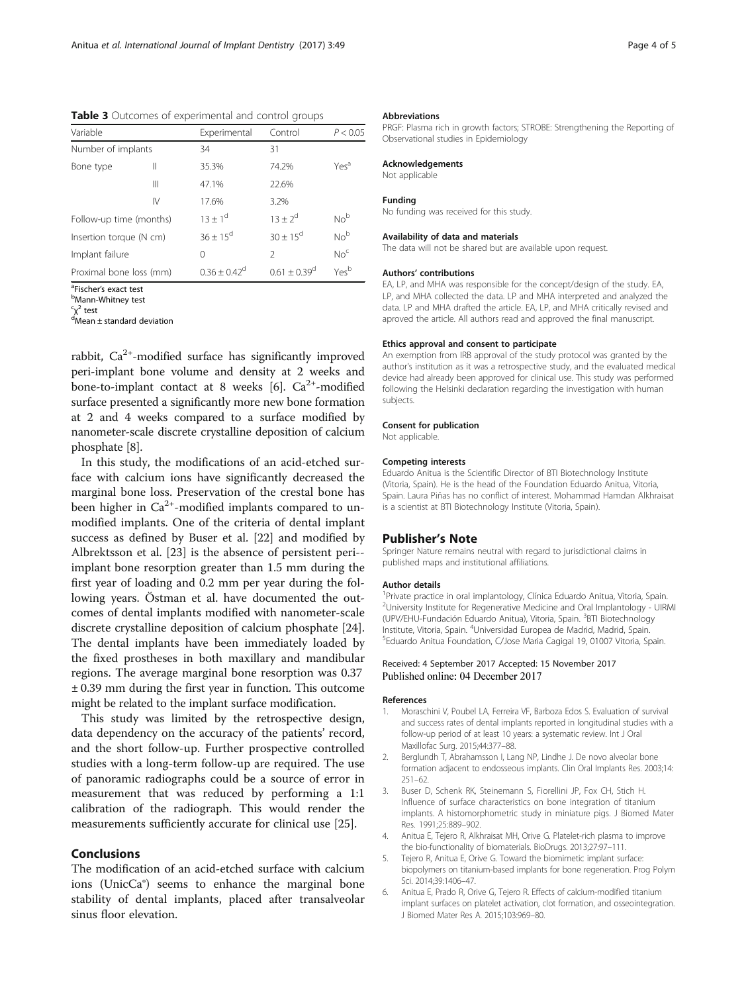<span id="page-3-0"></span>Table 3 Outcomes of experimental and control groups

| Variable                |    | Experimental    | Control                    | P < 0.05         |
|-------------------------|----|-----------------|----------------------------|------------------|
| Number of implants      |    | 34              | 31                         |                  |
| Bone type               | Ш  | 35.3%           | 74.2%                      | Yes <sup>a</sup> |
|                         | Ш  | 47.1%           | 22.6%                      |                  |
|                         | IV | 17.6%           | 3.2%                       |                  |
| Follow-up time (months) |    | $13 + 1^d$      | $13 + 2^{d}$               | No <sup>b</sup>  |
| Insertion torque (N cm) |    | $36 + 15^d$     | $30 + 15^{\circ}$          | No <sup>b</sup>  |
| Implant failure         |    | 0               | $\mathcal{P}$              | No <sup>c</sup>  |
| Proximal bone loss (mm) |    | $0.36 + 0.42^d$ | $0.61 + 0.39$ <sup>d</sup> | Yes <sup>b</sup> |

<sup>a</sup>Fischer's exact test<br><sup>b</sup>Mann Whitnoy test

**Mann-Whitney test** 

<sup>c</sup>χ<sup>2</sup> test<br><sup>d</sup>Mean ± standard deviation

rabbit,  $Ca^{2+}$ -modified surface has significantly improved peri-implant bone volume and density at 2 weeks and bone-to-implant contact at 8 weeks [6].  $Ca^{2+}$ -modified surface presented a significantly more new bone formation at 2 and 4 weeks compared to a surface modified by nanometer-scale discrete crystalline deposition of calcium phosphate [[8](#page-4-0)].

In this study, the modifications of an acid-etched surface with calcium ions have significantly decreased the marginal bone loss. Preservation of the crestal bone has been higher in  $Ca^{2+}$ -modified implants compared to unmodified implants. One of the criteria of dental implant success as defined by Buser et al. [[22\]](#page-4-0) and modified by Albrektsson et al. [[23](#page-4-0)] is the absence of persistent peri- implant bone resorption greater than 1.5 mm during the first year of loading and 0.2 mm per year during the following years. Östman et al. have documented the outcomes of dental implants modified with nanometer-scale discrete crystalline deposition of calcium phosphate [\[24](#page-4-0)]. The dental implants have been immediately loaded by the fixed prostheses in both maxillary and mandibular regions. The average marginal bone resorption was 0.37 ± 0.39 mm during the first year in function. This outcome might be related to the implant surface modification.

This study was limited by the retrospective design, data dependency on the accuracy of the patients' record, and the short follow-up. Further prospective controlled studies with a long-term follow-up are required. The use of panoramic radiographs could be a source of error in measurement that was reduced by performing a 1:1 calibration of the radiograph. This would render the measurements sufficiently accurate for clinical use [\[25](#page-4-0)].

# Conclusions

The modification of an acid-etched surface with calcium ions (UnicCa®) seems to enhance the marginal bone stability of dental implants, placed after transalveolar sinus floor elevation.

#### Abbreviations

PRGF: Plasma rich in growth factors; STROBE: Strengthening the Reporting of Observational studies in Epidemiology

# Acknowledgements

Not applicable

#### Funding

No funding was received for this study.

#### Availability of data and materials

The data will not be shared but are available upon request.

#### Authors' contributions

EA, LP, and MHA was responsible for the concept/design of the study. EA, LP, and MHA collected the data. LP and MHA interpreted and analyzed the data. LP and MHA drafted the article. EA, LP, and MHA critically revised and aproved the article. All authors read and approved the final manuscript.

#### Ethics approval and consent to participate

An exemption from IRB approval of the study protocol was granted by the author's institution as it was a retrospective study, and the evaluated medical device had already been approved for clinical use. This study was performed following the Helsinki declaration regarding the investigation with human subjects.

#### Consent for publication

Not applicable.

#### Competing interests

Eduardo Anitua is the Scientific Director of BTI Biotechnology Institute (Vitoria, Spain). He is the head of the Foundation Eduardo Anitua, Vitoria, Spain. Laura Piñas has no conflict of interest. Mohammad Hamdan Alkhraisat is a scientist at BTI Biotechnology Institute (Vitoria, Spain).

### Publisher's Note

Springer Nature remains neutral with regard to jurisdictional claims in published maps and institutional affiliations.

#### Author details

<sup>1</sup> Private practice in oral implantology, Clínica Eduardo Anitua, Vitoria, Spain. <sup>2</sup>University Institute for Regenerative Medicine and Oral Implantology - UIRMI (UPV/EHU-Fundación Eduardo Anitua), Vitoria, Spain. <sup>3</sup>BTI Biotechnology Institute, Vitoria, Spain. <sup>4</sup>Universidad Europea de Madrid, Madrid, Spain.<br><sup>5</sup>Eduardo Anitua Foundation, Cáloso Maria Cagigal 19, 01007 Vitoria, St <sup>5</sup>Eduardo Anitua Foundation, C/Jose Maria Cagigal 19, 01007 Vitoria, Spain.

#### Received: 4 September 2017 Accepted: 15 November 2017 Published online: 04 December 2017

#### References

- 1. Moraschini V, Poubel LA, Ferreira VF, Barboza Edos S. Evaluation of survival and success rates of dental implants reported in longitudinal studies with a follow-up period of at least 10 years: a systematic review. Int J Oral Maxillofac Surg. 2015;44:377–88.
- 2. Berglundh T, Abrahamsson I, Lang NP, Lindhe J. De novo alveolar bone formation adjacent to endosseous implants. Clin Oral Implants Res. 2003;14: 251–62.
- 3. Buser D, Schenk RK, Steinemann S, Fiorellini JP, Fox CH, Stich H. Influence of surface characteristics on bone integration of titanium implants. A histomorphometric study in miniature pigs. J Biomed Mater Res. 1991;25:889–902.
- 4. Anitua E, Tejero R, Alkhraisat MH, Orive G. Platelet-rich plasma to improve the bio-functionality of biomaterials. BioDrugs. 2013;27:97–111.
- 5. Tejero R, Anitua E, Orive G. Toward the biomimetic implant surface: biopolymers on titanium-based implants for bone regeneration. Prog Polym Sci. 2014;39:1406–47.
- 6. Anitua E, Prado R, Orive G, Tejero R. Effects of calcium-modified titanium implant surfaces on platelet activation, clot formation, and osseointegration. J Biomed Mater Res A. 2015;103:969–80.